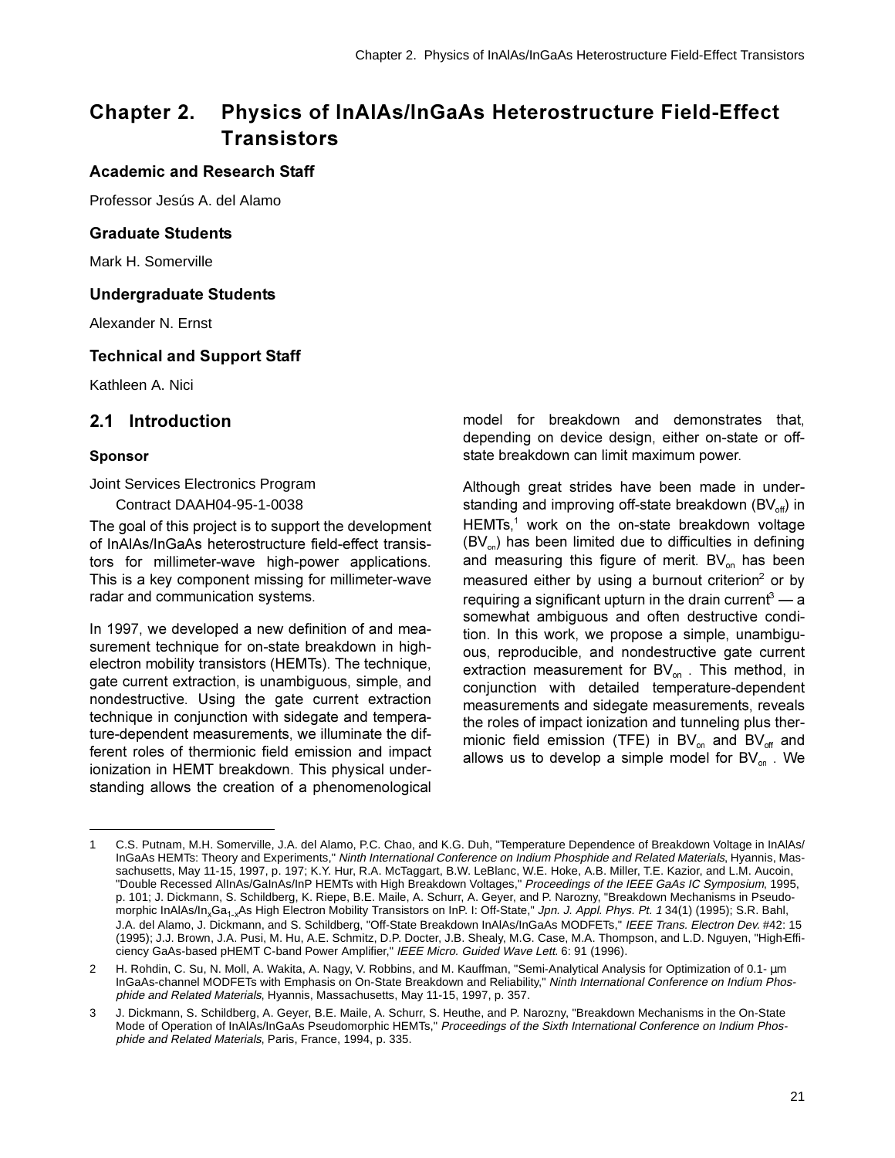# Chapter 2. Physics of InAIAs/InGaAs Heterostructure Field-Effect **Transistors**

### **Academic and Research Staff**

Professor Jesús A. del Alamo

#### **Graduate Students**

Mark H. Somerville

#### **Undergraduate Students**

Alexander N. Ernst

#### **Technical and Support Staff**

Kathleen A. Nici

### **2.1 Introduction**

#### **Sponsor**

Joint Services Electronics Program

Contract DAAH04-95-1-0038

The goal of this project is to support the development of InAIAs/InGaAs heterostructure field-effect transistors for millimeter-wave high-power applications. This is a key component missing for millimeter-wave radar and communication systems.

In 1997, we developed a new definition of and measurement technique for on-state breakdown in highelectron mobility transistors (HEMTs). The technique, gate current extraction, is unambiquous, simple, and nondestructive. Using the gate current extraction technique in conjunction with sidegate and temperature-dependent measurements, we illuminate the different roles of thermionic field emission and impact ionization in HEMT breakdown. This physical understanding allows the creation of a phenomenological

model for breakdown and demonstrates that, depending on device design, either on-state or offstate breakdown can limit maximum power.

Although great strides have been made in understanding and improving off-state breakdown (BV $_{\text{off}}$ ) in HEMTs,<sup>1</sup> work on the on-state breakdown voltage  $(BV<sub>on</sub>)$  has been limited due to difficulties in defining and measuring this figure of merit.  $BV_{on}$  has been measured either by using a burnout criterion<sup>2</sup> or by requiring a significant upturn in the drain current<sup>3</sup> — a somewhat ambiquous and often destructive condition. In this work, we propose a simple, unambiguous, reproducible, and nondestructive gate current extraction measurement for  $BV_{on}$ . This method, in conjunction with detailed temperature-dependent measurements and sidegate measurements, reveals the roles of impact ionization and tunneling plus thermionic field emission (TFE) in  $BV_{on}$  and  $BV_{off}$  and allows us to develop a simple model for  $BV_{on}$ . We

<sup>1</sup> C.S. Putnam, M.H. Somerville, J.A. del Alamo, P.C. Chao, and K.G. Duh, "Temperature Dependence of Breakdown Voltage in InAlAs/ InGaAs HEMTs: Theory and Experiments," Ninth International Conference on Indium Phosphide and Related Materials, Hyannis, Massachusetts, May 11-15, 1997, p. 197; K.Y. Hur, R.A. McTaggart, B.W. LeBlanc, W.E. Hoke, A.B. Miller, T.E. Kazior, and L.M. Aucoin, "Double Recessed AllnAs/GalnAs/InP HEMTs with High Breakdown Voltages," Proceedings of the IEEE GaAs IC Symposium, 1995, p. 101; J. Dickmann, S. Schildberg, K. Riepe, B.E. Maile, A. Schurr, A. Geyer, and P. Narozny, "Breakdown Mechanisms in Pseudomorphic InAlAs/In<sub>x</sub>Ga<sub>1-x</sub>As High Electron Mobility Transistors on InP. I: Off-State," Jpn. J. Appl. Phys. Pt. 1 34(1) (1995); S.R. Bahl,<br>J.A. del Alame, J. Dickmann, and S. Schildberg, "Off-State Breakdown InAlAs/InGaAs J.A. del Alamo, J. Dickmann, and S. Schildberg, "Off-State Breakdown InAlAs/InGaAs MODFETs," IEEE Trans. Electron Dev. #42: 15 (1995); J.J. Brown, J.A. Pusi, M. Hu, A.E. Schmitz, D.P. Docter, J.B. Shealy, M.G. Case, M.A. Thompson, and L.D. Nguyen, "High-Efficiency GaAs-based pHEMT C-band Power Amplifier," IEEE Micro. Guided Wave Lett. 6: 91 (1996).

<sup>2</sup> H. Rohdin, C. Su, N. Moll, A. Wakita, A. Nagy, V. Robbins, and M. Kauffman, "Semi-Analytical Analysis for Optimization of 0.1- µm InGaAs-channel MODFETs with Emphasis on On-State Breakdown and Reliability," Ninth International Conference on Indium Phosphide and Related Materials, Hyannis, Massachusetts, May 11-15, 1997, p. 357.

<sup>3</sup> J. Dickmann, S. Schildberg, A. Geyer, B.E. Maile, A. Schurr, S. Heuthe, and P. Narozny, "Breakdown Mechanisms in the On-State Mode of Operation of InAlAs/InGaAs Pseudomorphic HEMTs," Proceedings of the Sixth International Conference on Indium Phosphide and Related Materials, Paris, France, 1994, p. 335.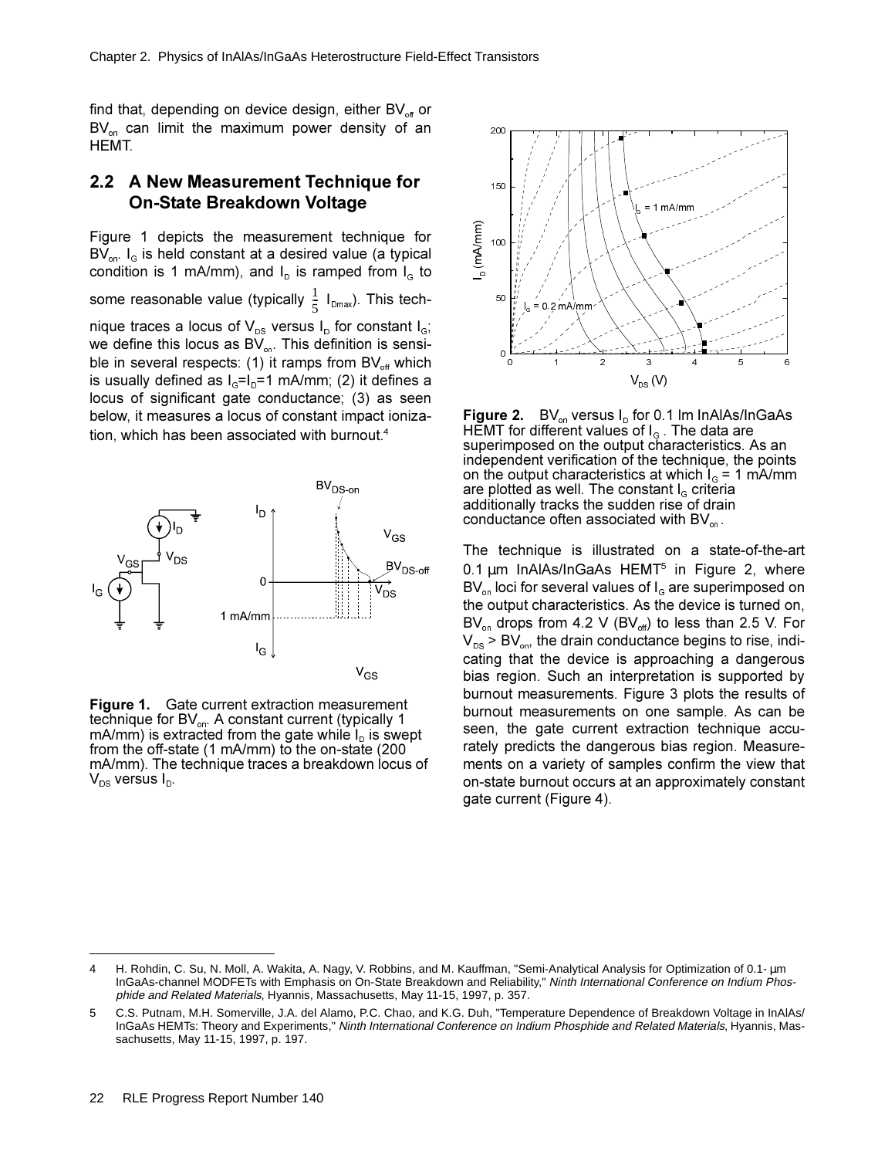find that, depending on device design, either  $BV_{off}$  or  $BV_{on}$  can limit the maximum power density of an HEMT.

### **2.2 A New Measurement Technique for 2011** On-State Breakdown Voltage

Figure 1 depicts the measurement technique for  $BV_{on.}$  I<sub>G</sub> is held constant at a desired value (a typical condition is 1 mA/mm), and  $I<sub>D</sub>$  is ramped from  $I<sub>G</sub>$  to some reasonable value (typically  $\frac{1}{5}$  I<sub>Dmax</sub>). This technique traces a locus of  $V_{DS}$  versus  $I_D$  for constant  $I_G$ ; we define this locus as  $BV_{on}$ . This definition is sensible in several respects: (1) it ramps from  $BV_{\text{off}}$  which is usually defined as  $I_0 = I_0 = 1$  mA/mm; (2) it defines a locus of significant gate conductance; (3) as seen below, it measures a locus of constant impact ionization, which has been associated with burnout.<sup>4</sup>  $\frac{1}{5}$ 



**Figure 1.** Gate current extraction measurement technique for  $BV_{on}$ . A constant current (typically 1  $mA/mm$ ) is extracted from the gate while  $I<sub>D</sub>$  is swept from the off-state (1 mA/mm) to the on-state (200 mA/mm). The technique traces a breakdown locus of  $V_{DS}$  versus  $I_{D}$ .



**Figure 2.**  $BV_{on}$  versus  $I_{D}$  for 0.1 Im InAlAs/InGaAs  $H$ EMT for different values of  $I<sub>G</sub>$ . The data are superimposed on the output characteristics. As an independent verification of the technique, the points on the output characteristics at which  $I<sub>G</sub> = 1$  mA/mm are plotted as well. The constant  $I<sub>g</sub>$  criteria additionally tracks the sudden rise of drain conductance often associated with  $BV_{on}$ .

The technique is illustrated on a state-of-the-art 0.1  $\mu$ m InAlAs/InGaAs HEMT<sup>5</sup> in Figure 2, where  $BV_{on}$  loci for several values of  $I_{G}$  are superimposed on the output characteristics. As the device is turned on, BV<sub>on</sub> drops from 4.2 V (BV<sub>off</sub>) to less than 2.5 V. For  $V_{DS}$  > BV<sub>on</sub>, the drain conductance begins to rise, indicating that the device is approaching a dangerous bias region. Such an interpretation is supported by burnout measurements. Figure 3 plots the results of burnout measurements on one sample. As can be seen, the gate current extraction technique accurately predicts the dangerous bias region. Measurements on a variety of samples confirm the view that on-state burnout occurs at an approximately constant gate current (Figure 4).

H. Rohdin, C. Su, N. Moll, A. Wakita, A. Nagy, V. Robbins, and M. Kauffman, "Semi-Analytical Analysis for Optimization of 0.1- µm InGaAs-channel MODFETs with Emphasis on On-State Breakdown and Reliability," Ninth International Conference on Indium Phosphide and Related Materials, Hyannis, Massachusetts, May 11-15, 1997, p. 357.

<sup>5</sup> C.S. Putnam, M.H. Somerville, J.A. del Alamo, P.C. Chao, and K.G. Duh, "Temperature Dependence of Breakdown Voltage in InAlAs/ InGaAs HEMTs: Theory and Experiments," Ninth International Conference on Indium Phosphide and Related Materials, Hyannis, Massachusetts, May 11-15, 1997, p. 197.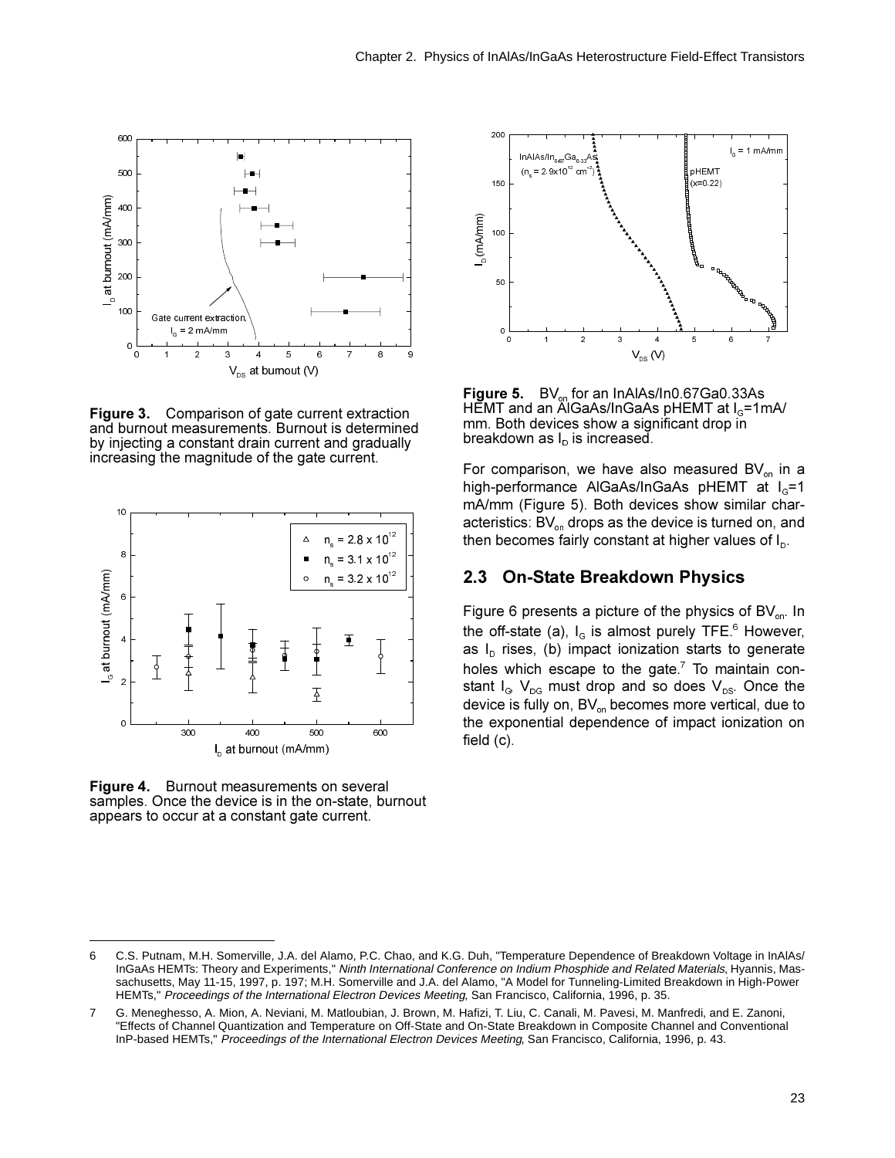

Figure 3. Comparison of gate current extraction and burnout measurements. Burnout is determined by injecting a constant drain current and gradually increasing the magnitude of the gate current.



**Figure 4.** Burnout measurements on several samples. Once the device is in the on-state, burnout appears to occur at a constant gate current.



**Figure 5.**  $BV_{on}$  for an InAlAs/In0.67Ga0.33As  $H$ EMT and an AlGaAs/InGaAs pHEMT at  $I_0$ =1mA/ mm. Both devices show a significant drop in breakdown as  $I<sub>D</sub>$  is increased.

For comparison, we have also measured  $BV_{on}$  in a high-performance AlGaAs/InGaAs pHEMT at  $I<sub>G</sub>=1$ mA/mm (Figure 5). Both devices show similar characteristics:  $BV_{on}$  drops as the device is turned on, and then becomes fairly constant at higher values of  $I<sub>p</sub>$ .

### **2.3 On-State Breakdown Physics**

Figure 6 presents a picture of the physics of  $BV_{on}$ . In the off-state (a),  $I_G$  is almost purely TFE.<sup>6</sup> However, as  $I<sub>D</sub>$  rises, (b) impact ionization starts to generate holes which escape to the gate. $^7$  To maintain constant  $I_G$ ,  $V_{DG}$  must drop and so does  $V_{DS}$ . Once the device is fully on,  $BV_{on}$  becomes more vertical, due to the exponential dependence of impact ionization on field  $(c)$ .

<sup>6</sup> C.S. Putnam, M.H. Somerville, J.A. del Alamo, P.C. Chao, and K.G. Duh, "Temperature Dependence of Breakdown Voltage in InAlAs/ InGaAs HEMTs: Theory and Experiments," Ninth International Conference on Indium Phosphide and Related Materials, Hyannis, Massachusetts, May 11-15, 1997, p. 197; M.H. Somerville and J.A. del Alamo, "A Model for Tunneling-Limited Breakdown in High-Power HEMTs," Proceedings of the International Electron Devices Meeting, San Francisco, California, 1996, p. 35.

<sup>7</sup> G. Meneghesso, A. Mion, A. Neviani, M. Matloubian, J. Brown, M. Hafizi, T. Liu, C. Canali, M. Pavesi, M. Manfredi, and E. Zanoni, "Effects of Channel Quantization and Temperature on Off-State and On-State Breakdown in Composite Channel and Conventional InP-based HEMTs," Proceedings of the International Electron Devices Meeting, San Francisco, California, 1996, p. 43.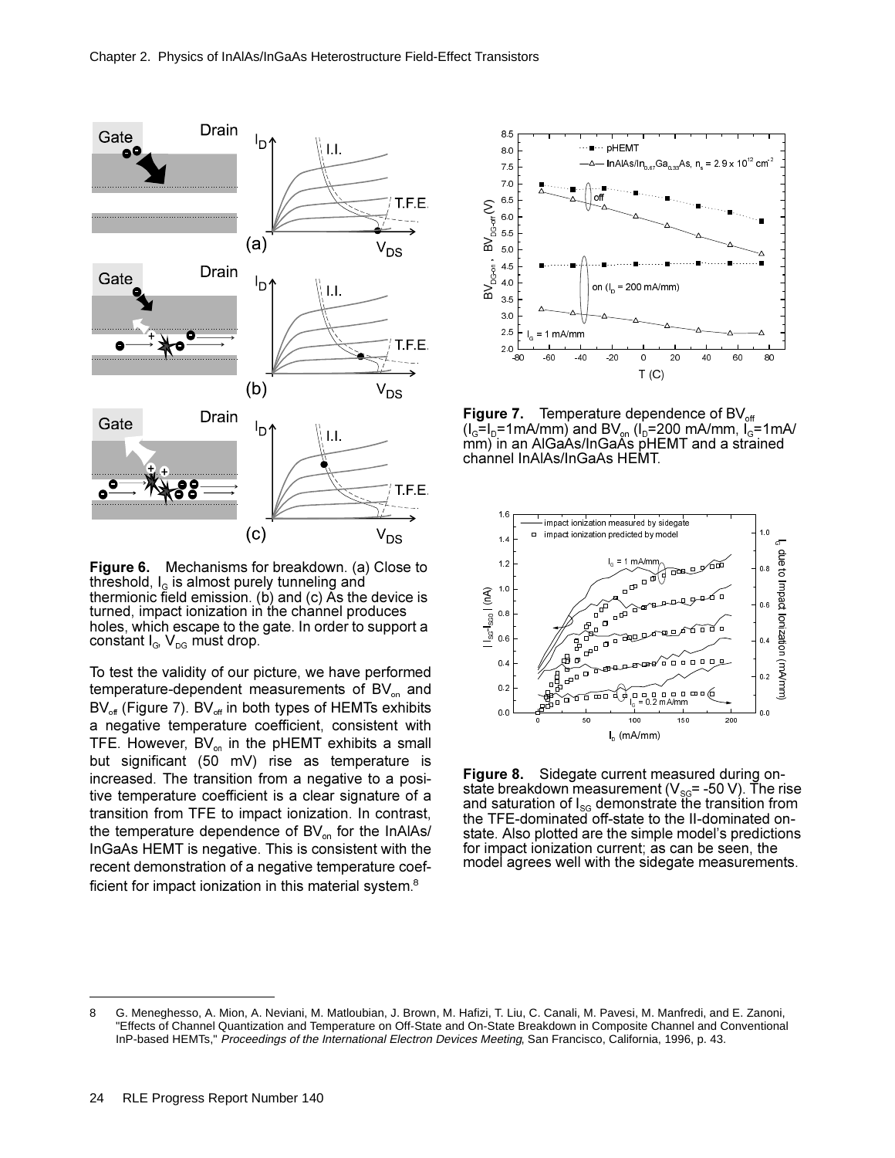

Figure 6. Mechanisms for breakdown. (a) Close to threshold,  $I_0$  is almost purely tunneling and thermionic field emission. (b) and (c) As the device is turned, impact ionization in the channel produces holes, which escape to the gate. In order to support a constant  $I_{\alpha}$ ,  $V_{\alpha}$  must drop.

To test the validity of our picture, we have performed temperature-dependent measurements of BV<sub>on</sub> and BV<sub>off</sub> (Figure 7). BV<sub>off</sub> in both types of HEMTs exhibits a negative temperature coefficient, consistent with TFE. However, BV<sub>on</sub> in the pHEMT exhibits a small but significant (50 mV) rise as temperature is increased. The transition from a negative to a positive temperature coefficient is a clear signature of a transition from TFE to impact ionization. In contrast, the temperature dependence of  $BV_{on}$  for the InAlAs/ InGaAs HEMT is negative. This is consistent with the recent demonstration of a negative temperature coefficient for impact ionization in this material system.<sup>8</sup>



Temperature dependence of BV<sub>off</sub> Figure 7.  $(I_0=I_D=1mA/mm)$  and BV<sub>on</sub>  $(I_D=200$  mA/mm,  $I_0=1mA/m$ mm) in an AlGaAs/InGaAs pHEMT and a strained channel InAlAs/InGaAs HEMT.



Figure 8. Sidegate current measured during onstate breakdown measurement ( $V_{\text{SG}}$  = -50 V). The rise and saturation of  $I_{\rm sc}$  demonstrate the transition from the TFE-dominated off-state to the II-dominated onstate. Also plotted are the simple model's predictions for impact ionization current; as can be seen, the model agrees well with the sidegate measurements.

G. Meneghesso, A. Mion, A. Neviani, M. Matloubian, J. Brown, M. Hafizi, T. Liu, C. Canali, M. Pavesi, M. Manfredi, and E. Zanoni, 8 "Effects of Channel Quantization and Temperature on Off-State and On-State Breakdown in Composite Channel and Conventional InP-based HEMTs," Proceedings of the International Electron Devices Meeting, San Francisco, California, 1996, p. 43.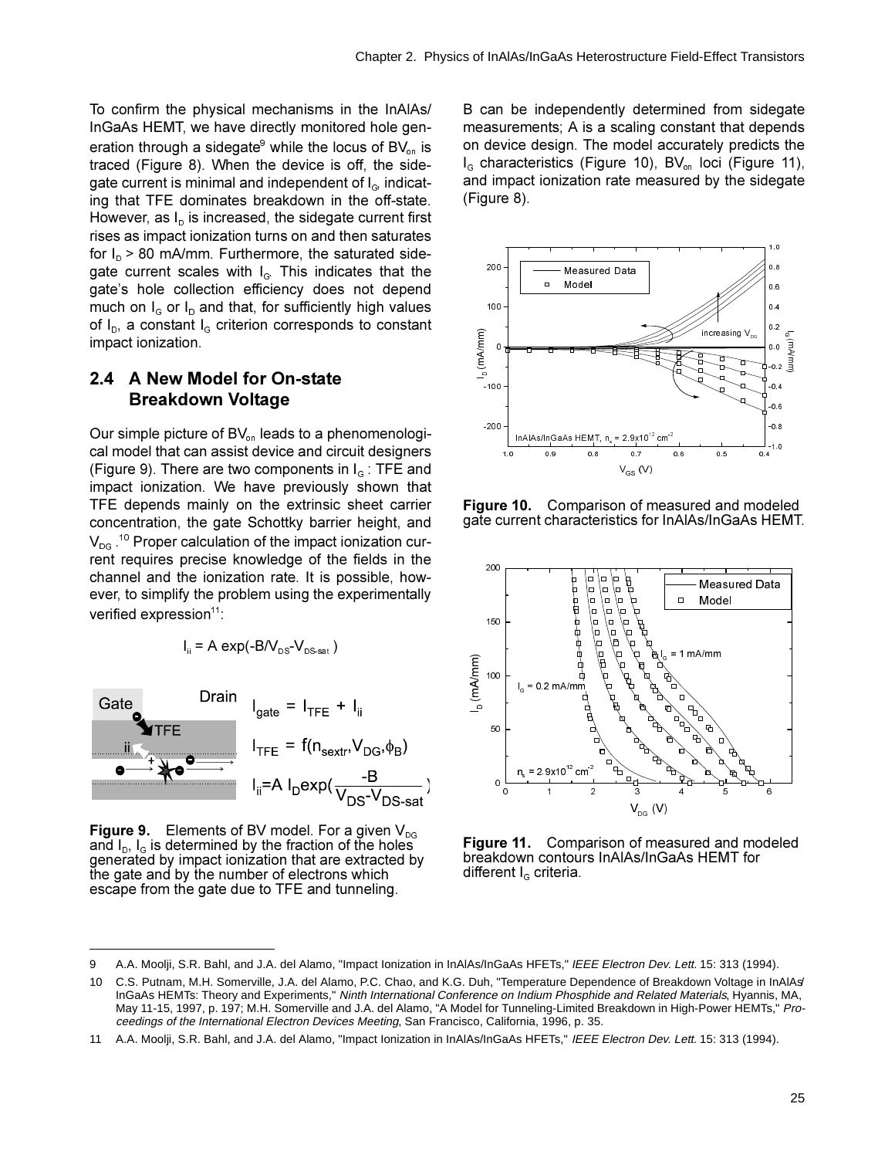To confirm the physical mechanisms in the InAIAs/ InGaAs HEMT, we have directly monitored hole generation through a sidegate<sup>9</sup> while the locus of  $BV_{on}$  is traced (Figure 8). When the device is off, the sidegate current is minimal and independent of I<sub>G</sub> indicating that TFE dominates breakdown in the off-state. However, as  $I<sub>p</sub>$  is increased, the sidegate current first rises as impact ionization turns on and then saturates for  $I_n > 80$  mA/mm. Furthermore, the saturated sidegate current scales with I<sub>G</sub> This indicates that the gate's hole collection efficiency does not depend much on  $I_G$  or  $I_D$  and that, for sufficiently high values of  $I_D$ , a constant  $I_G$  criterion corresponds to constant impact ionization.

### 2.4 A New Model for On-state **Breakdown Voltage**

Our simple picture of BV<sub>on</sub> leads to a phenomenological model that can assist device and circuit designers (Figure 9). There are two components in  $I<sub>g</sub>$ : TFE and impact ionization. We have previously shown that TFE depends mainly on the extrinsic sheet carrier concentration, the gate Schottky barrier height, and  $V_{\text{DG}}$ .<sup>10</sup> Proper calculation of the impact ionization current requires precise knowledge of the fields in the channel and the ionization rate. It is possible, however, to simplify the problem using the experimentally verified expression<sup>11</sup>:

$$
I_{ii} = A \exp(-B/V_{DS} - V_{DS sat})
$$



Figure 9. Elements of BV model. For a given  $V_{DS}$ and  $I_{\text{D}}$ ,  $I_{\text{G}}$  is determined by the fraction of the holes generated by impact ionization that are extracted bv the gate and by the number of electrons which escape from the gate due to TFE and tunneling.

B can be independently determined from sidegate measurements; A is a scaling constant that depends on device design. The model accurately predicts the I<sub>G</sub> characteristics (Figure 10), BV<sub>on</sub> loci (Figure 11), and impact ionization rate measured by the sidegate (Figure 8).



Figure 10. Comparison of measured and modeled gate current characteristics for InAlAs/InGaAs HEMT.



Figure 11. Comparison of measured and modeled breakdown contours InAIAs/InGaAs HEMT for different  $I<sub>G</sub>$  criteria.

<sup>9</sup> A.A. Moolji, S.R. Bahl, and J.A. del Alamo, "Impact Ionization in InAlAs/InGaAs HFETs," IEEE Electron Dev. Lett. 15: 313 (1994).

C.S. Putnam, M.H. Somerville, J.A. del Alamo, P.C. Chao, and K.G. Duh, "Temperature Dependence of Breakdown Voltage in InAlAs'  $10$ InGaAs HEMTs: Theory and Experiments," Ninth International Conference on Indium Phosphide and Related Materials, Hyannis, MA, May 11-15, 1997, p. 197; M.H. Somerville and J.A. del Alamo, "A Model for Tunneling-Limited Breakdown in High-Power HEMTs," Proceedings of the International Electron Devices Meeting, San Francisco, California, 1996, p. 35.

A.A. Moolji, S.R. Bahl, and J.A. del Alamo, "Impact Ionization in InAlAs/InGaAs HFETs," IEEE Electron Dev. Lett. 15: 313 (1994).  $11$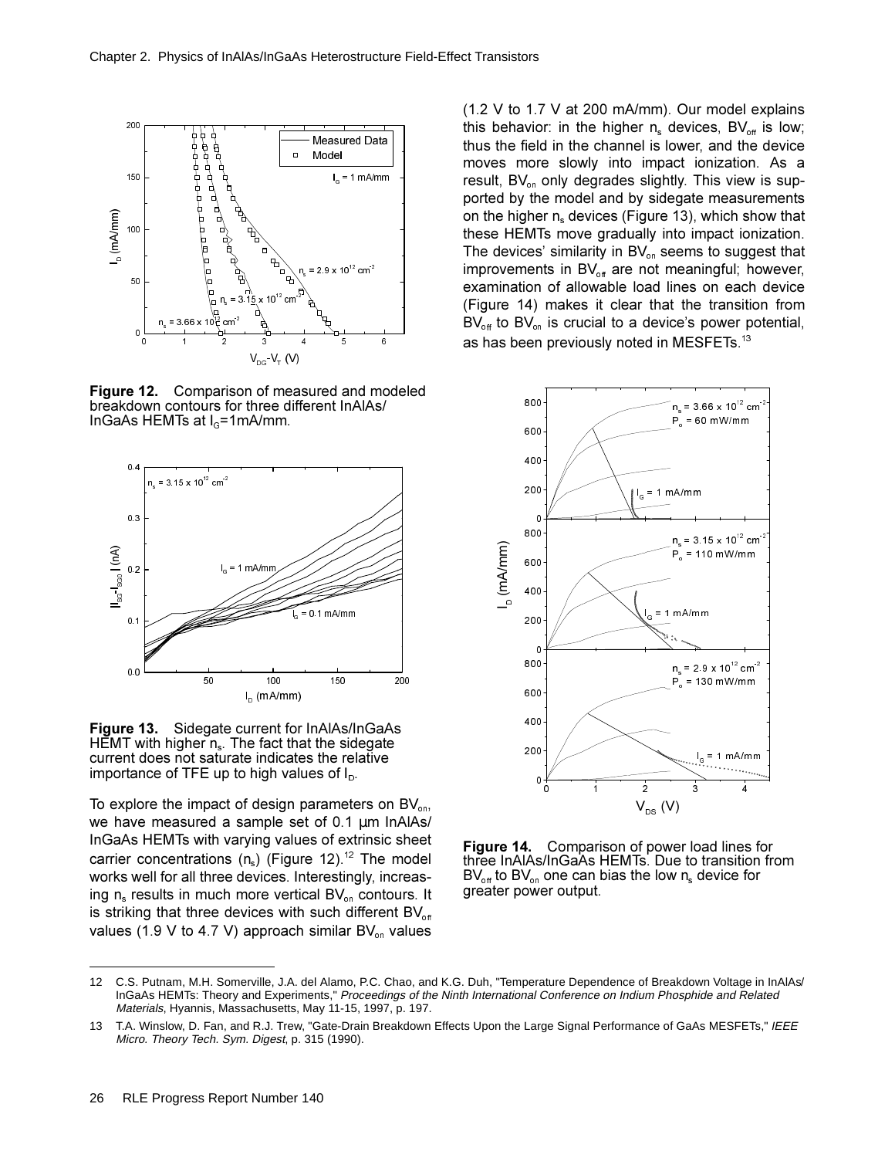

**Figure 12.** Comparison of measured and modeled breakdown contours for three different InAlAs/ InGaAs HEMTs at  $I<sub>G</sub>=1mA/mm$ .



**Figure 13.** Sidegate current for InAlAs/InGaAs HEMT with higher  $n_s$ . The fact that the sidegate current does not saturate indicates the relative importance of TFE up to high values of  $I_{\text{D}}$ .

To explore the impact of design parameters on  $BV_{on}$ , we have measured a sample set of  $0.1 \mu m$  InAlAs/ InGaAs HEMTs with varying values of extrinsic sheet carrier concentrations (n<sub>s</sub>) (Figure 12).<sup>12</sup> The model works well for all three devices. Interestingly, increasing  $n_s$  results in much more vertical BV<sub>on</sub> contours. It is striking that three devices with such different  $BV_{\text{off}}$ values (1.9 V to 4.7 V) approach similar  $BV_{on}$  values

 $(1.2 V to 1.7 V at 200 mA/mm)$ . Our model explains this behavior: in the higher  $n_s$  devices, BV<sub>off</sub> is low; thus the field in the channel is lower, and the device moves more slowly into impact ionization. As a result,  $BV_{on}$  only degrades slightly. This view is supported by the model and by sidegate measurements on the higher  $n_s$  devices (Figure 13), which show that these HEMTs move gradually into impact ionization. The devices' similarity in  $BV_{on}$  seems to suggest that improvements in  $BV_{\text{off}}$  are not meaningful; however, examination of allowable load lines on each device (Figure 14) makes it clear that the transition from  $BV_{\text{off}}$  to BV<sub>on</sub> is crucial to a device's power potential, as has been previously noted in MESFETs. $^{13}$ 



**Figure 14.** Comparison of power load lines for three InAlAs/InGaAs HEMTs. Due to transition from BV<sub>off</sub> to BV<sub>on</sub> one can bias the low  $n_s$  device for greater power output.

<sup>12</sup> C.S. Putnam, M.H. Somerville, J.A. del Alamo, P.C. Chao, and K.G. Duh, "Temperature Dependence of Breakdown Voltage in InAlAs/ InGaAs HEMTs: Theory and Experiments," Proceedings of the Ninth International Conference on Indium Phosphide and Related Materials, Hyannis, Massachusetts, May 11-15, 1997, p. 197.

<sup>13</sup> T.A. Winslow, D. Fan, and R.J. Trew, "Gate-Drain Breakdown Effects Upon the Large Signal Performance of GaAs MESFETs," IEEE Micro. Theory Tech. Sym. Digest, p. 315 (1990).